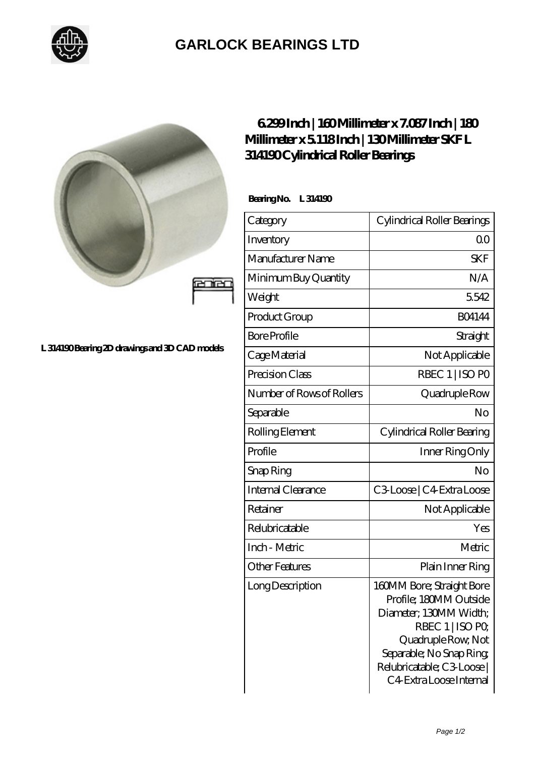

## **[GARLOCK BEARINGS LTD](https://m.letterstopriests.com)**



## **[L 314190 Bearing 2D drawings and 3D CAD models](https://m.letterstopriests.com/pic-188404.html)**

## **[6.299 Inch | 160 Millimeter x 7.087 Inch | 180](https://m.letterstopriests.com/ar-188404-skf-l-314190-cylindrical-roller-bearings.html) [Millimeter x 5.118 Inch | 130 Millimeter SKF L](https://m.letterstopriests.com/ar-188404-skf-l-314190-cylindrical-roller-bearings.html) [314190 Cylindrical Roller Bearings](https://m.letterstopriests.com/ar-188404-skf-l-314190-cylindrical-roller-bearings.html)**

 **Bearing No. L 314190**

| Category                  | Cylindrical Roller Bearings                                                                                                                                                                                |
|---------------------------|------------------------------------------------------------------------------------------------------------------------------------------------------------------------------------------------------------|
| Inventory                 | 00                                                                                                                                                                                                         |
| Manufacturer Name         | <b>SKF</b>                                                                                                                                                                                                 |
| Minimum Buy Quantity      | N/A                                                                                                                                                                                                        |
| Weight                    | 5542                                                                                                                                                                                                       |
| Product Group             | <b>BO4144</b>                                                                                                                                                                                              |
| <b>Bore Profile</b>       | Straight                                                                                                                                                                                                   |
| Cage Material             | Not Applicable                                                                                                                                                                                             |
| Precision Class           | RBEC 1   ISO PO                                                                                                                                                                                            |
| Number of Rows of Rollers | Quadruple Row                                                                                                                                                                                              |
| Separable                 | No                                                                                                                                                                                                         |
| Rolling Element           | Cylindrical Roller Bearing                                                                                                                                                                                 |
| Profile                   | Inner Ring Only                                                                                                                                                                                            |
| Snap Ring                 | No                                                                                                                                                                                                         |
| Internal Clearance        | C3Loose   C4 Extra Loose                                                                                                                                                                                   |
| Retainer                  | Not Applicable                                                                                                                                                                                             |
| Relubricatable            | Yes                                                                                                                                                                                                        |
| Inch - Metric             | Metric                                                                                                                                                                                                     |
| <b>Other Features</b>     | Plain Inner Ring                                                                                                                                                                                           |
| Long Description          | 160MM Bore; Straight Bore<br>Profile; 180MM Outside<br>Diameter; 130MM Width;<br>RBEC 1   ISO PO<br>Quadruple Row, Not<br>Separable; No Snap Ring<br>Relubricatable; C3 Loose  <br>C4 Extra Loose Internal |